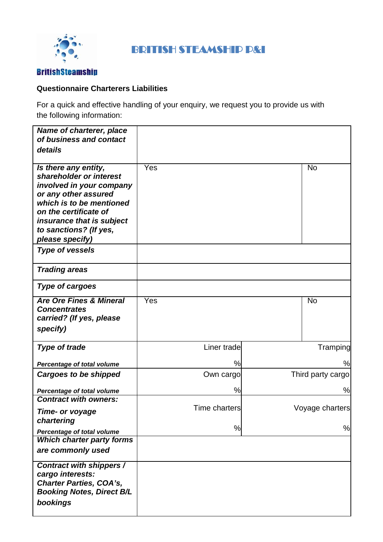

# BRITISH STEAMSHIP P&I

#### **BritishSteamship**

#### **Questionnaire Charterers Liabilities**

For a quick and effective handling of your enquiry, we request you to provide us with the following information:

| Name of charterer, place<br>of business and contact<br>details                                                                                                                                                                     |                      |                   |
|------------------------------------------------------------------------------------------------------------------------------------------------------------------------------------------------------------------------------------|----------------------|-------------------|
| Is there any entity,<br>shareholder or interest<br>involved in your company<br>or any other assured<br>which is to be mentioned<br>on the certificate of<br>insurance that is subject<br>to sanctions? (If yes,<br>please specify) | Yes                  | <b>No</b>         |
| <b>Type of vessels</b>                                                                                                                                                                                                             |                      |                   |
| <b>Trading areas</b>                                                                                                                                                                                                               |                      |                   |
| <b>Type of cargoes</b>                                                                                                                                                                                                             |                      |                   |
| <b>Are Ore Fines &amp; Mineral</b><br><b>Concentrates</b><br>carried? (If yes, please<br>specify)                                                                                                                                  | Yes                  | <b>No</b>         |
| <b>Type of trade</b>                                                                                                                                                                                                               | Liner trade          | Tramping          |
| Percentage of total volume                                                                                                                                                                                                         | %                    | %                 |
| <b>Cargoes to be shipped</b>                                                                                                                                                                                                       | Own cargo            | Third party cargo |
| Percentage of total volume                                                                                                                                                                                                         | %                    | %                 |
| <b>Contract with owners:</b><br>Time- or voyage<br>chartering                                                                                                                                                                      | <b>Time charters</b> | Voyage charters   |
| Percentage of total volume                                                                                                                                                                                                         | %                    | %                 |
| <b>Which charter party forms</b><br>are commonly used                                                                                                                                                                              |                      |                   |
| Contract with shippers /<br>cargo interests:<br><b>Charter Parties, COA's,</b><br><b>Booking Notes, Direct B/L</b><br>bookings                                                                                                     |                      |                   |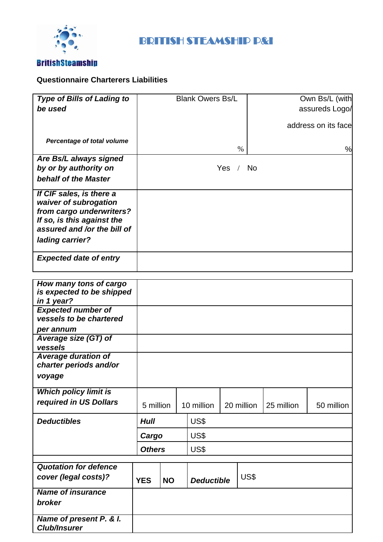

# BRITISH STEAMSHIP P&I

## **BritishSteamship**

### **Questionnaire Charterers Liabilities**

| <b>Type of Bills of Lading to</b>                         | <b>Blank Owers Bs/L</b> |           |                   |  | Own Bs/L (with |            |                     |
|-----------------------------------------------------------|-------------------------|-----------|-------------------|--|----------------|------------|---------------------|
| be used                                                   |                         |           |                   |  | assureds Logo/ |            |                     |
|                                                           |                         |           |                   |  |                |            |                     |
|                                                           |                         |           |                   |  |                |            | address on its face |
| Percentage of total volume                                |                         |           |                   |  |                |            |                     |
|                                                           |                         |           |                   |  | $\%$           |            | %                   |
| Are Bs/L always signed                                    |                         |           |                   |  |                |            |                     |
| by or by authority on                                     |                         |           |                   |  | Yes / No       |            |                     |
| behalf of the Master                                      |                         |           |                   |  |                |            |                     |
| If CIF sales, is there a                                  |                         |           |                   |  |                |            |                     |
| waiver of subrogation                                     |                         |           |                   |  |                |            |                     |
| from cargo underwriters?                                  |                         |           |                   |  |                |            |                     |
| If so, is this against the<br>assured and /or the bill of |                         |           |                   |  |                |            |                     |
|                                                           |                         |           |                   |  |                |            |                     |
| lading carrier?                                           |                         |           |                   |  |                |            |                     |
| <b>Expected date of entry</b>                             |                         |           |                   |  |                |            |                     |
|                                                           |                         |           |                   |  |                |            |                     |
|                                                           |                         |           |                   |  |                |            |                     |
| How many tons of cargo                                    |                         |           |                   |  |                |            |                     |
| is expected to be shipped<br>in 1 year?                   |                         |           |                   |  |                |            |                     |
| <b>Expected number of</b>                                 |                         |           |                   |  |                |            |                     |
| vessels to be chartered                                   |                         |           |                   |  |                |            |                     |
| per annum                                                 |                         |           |                   |  |                |            |                     |
| Average size (GT) of                                      |                         |           |                   |  |                |            |                     |
| vessels                                                   |                         |           |                   |  |                |            |                     |
| <b>Average duration of</b>                                |                         |           |                   |  |                |            |                     |
| charter periods and/or                                    |                         |           |                   |  |                |            |                     |
| voyage                                                    |                         |           |                   |  |                |            |                     |
| <b>Which policy limit is</b>                              |                         |           |                   |  |                |            |                     |
| required in US Dollars                                    | 5 million               |           | 10 million        |  | 20 million     | 25 million | 50 million          |
|                                                           |                         |           |                   |  |                |            |                     |
| <b>Deductibles</b>                                        | <b>Hull</b>             |           | US\$              |  |                |            |                     |
|                                                           | US\$<br>Cargo           |           |                   |  |                |            |                     |
|                                                           | US\$<br><b>Others</b>   |           |                   |  |                |            |                     |
|                                                           |                         |           |                   |  |                |            |                     |
| <b>Quotation for defence</b>                              |                         |           |                   |  |                |            |                     |
| cover (legal costs)?                                      | <b>YES</b>              | <b>NO</b> | <b>Deductible</b> |  | US\$           |            |                     |
| <b>Name of insurance</b>                                  |                         |           |                   |  |                |            |                     |
| broker                                                    |                         |           |                   |  |                |            |                     |
|                                                           |                         |           |                   |  |                |            |                     |
| Name of present P. & I.                                   |                         |           |                   |  |                |            |                     |
| <b>Club/Insurer</b>                                       |                         |           |                   |  |                |            |                     |